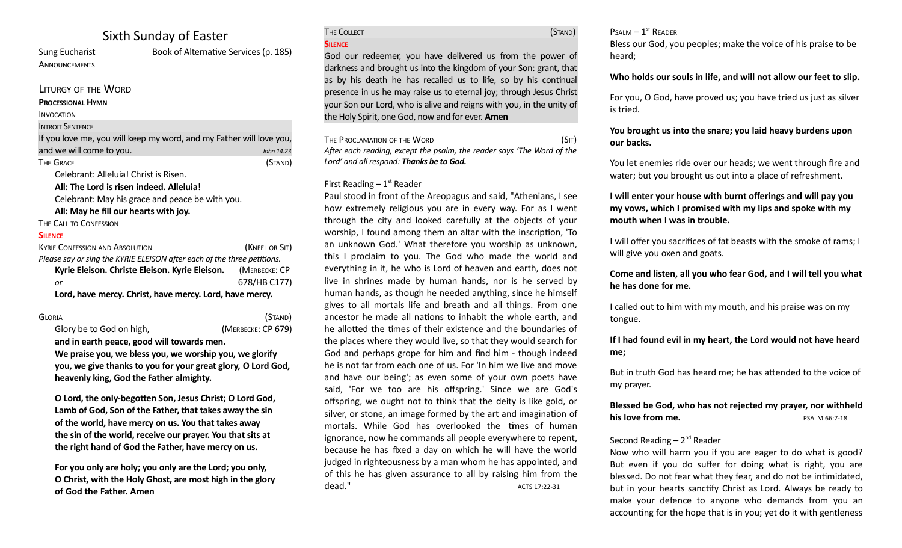# Sixth Sunday of Easter

**ANNOUNCEMENTS** 

Sung Eucharist Book of Alternative Services (p. 185)

#### LITURGY OF THE WORD

#### **PROCESSIONAL HYMN**

INVOCATION

#### **INTROIT SENTENCE**

If you love me, you will keep my word, and my Father will love you, and we will come to you. *John 14.23* The Grace (Stand)

Celebrant: Alleluia! Christ is Risen.

**All: The Lord is risen indeed. Alleluia!**

Celebrant: May his grace and peace be with you.

All: May he fill our hearts with joy.

THE CALL TO CONFESSION

### **SILENCE**

| <b>KYRIE CONFESSION AND ABSOLUTION</b>                                  | (KNEEL OR SIT) |  |
|-------------------------------------------------------------------------|----------------|--|
| Please say or sing the KYRIE ELEISON after each of the three petitions. |                |  |
| Kyrie Eleison. Christe Eleison. Kyrie Eleison.                          | (MERBECKE: CP  |  |
| or                                                                      | 678/HB C177)   |  |
| Lord, have mercy. Christ, have mercy. Lord, have mercy.                 |                |  |

GLORIA (STAND) Glory be to God on high, *(MERBECKE: CP 679)* 

**and in earth peace, good will towards men. We praise you, we bless you, we worship you, we glorify you, we give thanks to you for your great glory, O Lord God, heavenly king, God the Father almighty.** 

**O Lord, the only-begoten Son, Jesus Christ; O Lord God, Lamb of God, Son of the Father, that takes away the sin of the world, have mercy on us. You that takes away the sin of the world, receive our prayer. You that sits at the right hand of God the Father, have mercy on us.** 

**For you only are holy; you only are the Lord; you only, O Christ, with the Holy Ghost, are most high in the glory of God the Father. Amen**

| THE COLLECT | (STAND) |
|-------------|---------|
| SILENCE     |         |

God our redeemer, you have delivered us from the power of darkness and brought us into the kingdom of your Son: grant, that as by his death he has recalled us to life, so by his continual presence in us he may raise us to eternal joy; through Jesus Christ your Son our Lord, who is alive and reigns with you, in the unity of the Holy Spirit, one God, now and for ever. **Amen**

THE PROCLAMATION OF THE WORD (SIT) *Afer each reading, except the psalm, the reader says 'The Word of the Lord' and all respond: Thanks be to God.* 

## First Reading  $-1<sup>st</sup>$  Reader

Paul stood in front of the Areopagus and said, "Athenians, I see how extremely religious you are in every way. For as I went through the city and looked carefully at the objects of your worship, I found among them an altar with the inscription, 'To an unknown God.' What therefore you worship as unknown, this I proclaim to you. The God who made the world and everything in it, he who is Lord of heaven and earth, does not live in shrines made by human hands, nor is he served by human hands, as though he needed anything, since he himself gives to all mortals life and breath and all things. From one ancestor he made all nations to inhabit the whole earth, and he allotted the times of their existence and the boundaries of the places where they would live, so that they would search for God and perhaps grope for him and find him - though indeed he is not far from each one of us. For 'In him we live and move and have our being'; as even some of your own poets have said, 'For we too are his offspring.' Since we are God's ofspring, we ought not to think that the deity is like gold, or silver, or stone, an image formed by the art and imagination of mortals. While God has overlooked the tmes of human ignorance, now he commands all people everywhere to repent, because he has fxed a day on which he will have the world judged in righteousness by a man whom he has appointed, and of this he has given assurance to all by raising him from the dead." ACTS 17:22-31

 $P$ SALM  $-1$ <sup>ST</sup> READER

Bless our God, you peoples; make the voice of his praise to be heard;

## **Who holds our souls in life, and will not allow our feet to slip.**

For you, O God, have proved us; you have tried us just as silver is tried.

## **You brought us into the snare; you laid heavy burdens upon our backs.**

You let enemies ride over our heads; we went through fire and water; but you brought us out into a place of refreshment.

## **I will enter your house with burnt offerings and will pay you my vows, which I promised with my lips and spoke with my mouth when I was in trouble.**

I will offer you sacrifices of fat beasts with the smoke of rams; I will give you oxen and goats.

**Come and listen, all you who fear God, and I will tell you what he has done for me.** 

I called out to him with my mouth, and his praise was on my tongue.

## **If I had found evil in my heart, the Lord would not have heard me;**

But in truth God has heard me; he has atended to the voice of my prayer.

**Blessed be God, who has not rejected my prayer, nor withheld his love from me.** PSALM 66:7-18

## Second Reading  $-2^{nd}$  Reader

Now who will harm you if you are eager to do what is good? But even if you do suffer for doing what is right, you are blessed. Do not fear what they fear, and do not be intmidated, but in your hearts sanctify Christ as Lord. Always be ready to make your defence to anyone who demands from you an accounting for the hope that is in you; yet do it with gentleness